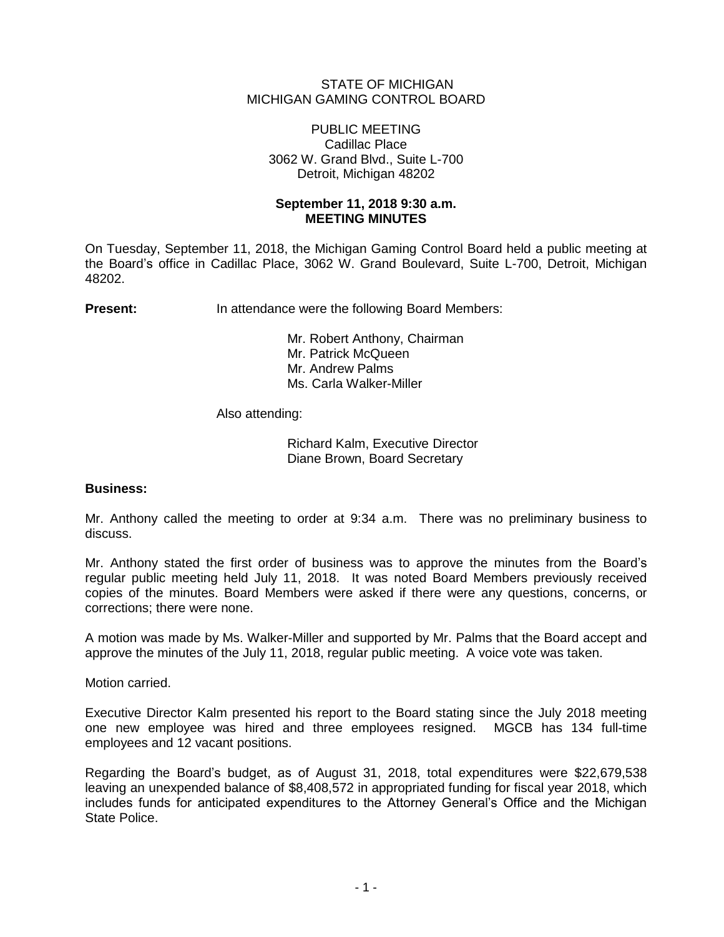## STATE OF MICHIGAN MICHIGAN GAMING CONTROL BOARD

## PUBLIC MEETING Cadillac Place 3062 W. Grand Blvd., Suite L-700 Detroit, Michigan 48202

# **September 11, 2018 9:30 a.m. MEETING MINUTES**

On Tuesday, September 11, 2018, the Michigan Gaming Control Board held a public meeting at the Board's office in Cadillac Place, 3062 W. Grand Boulevard, Suite L-700, Detroit, Michigan 48202.

**Present:** In attendance were the following Board Members:

Mr. Robert Anthony, Chairman Mr. Patrick McQueen Mr. Andrew Palms Ms. Carla Walker-Miller

Also attending:

Richard Kalm, Executive Director Diane Brown, Board Secretary

# **Business:**

Mr. Anthony called the meeting to order at 9:34 a.m. There was no preliminary business to discuss.

Mr. Anthony stated the first order of business was to approve the minutes from the Board's regular public meeting held July 11, 2018. It was noted Board Members previously received copies of the minutes. Board Members were asked if there were any questions, concerns, or corrections; there were none.

A motion was made by Ms. Walker-Miller and supported by Mr. Palms that the Board accept and approve the minutes of the July 11, 2018, regular public meeting. A voice vote was taken.

Motion carried.

Executive Director Kalm presented his report to the Board stating since the July 2018 meeting one new employee was hired and three employees resigned. MGCB has 134 full-time employees and 12 vacant positions.

Regarding the Board's budget, as of August 31, 2018, total expenditures were \$22,679,538 leaving an unexpended balance of \$8,408,572 in appropriated funding for fiscal year 2018, which includes funds for anticipated expenditures to the Attorney General's Office and the Michigan State Police.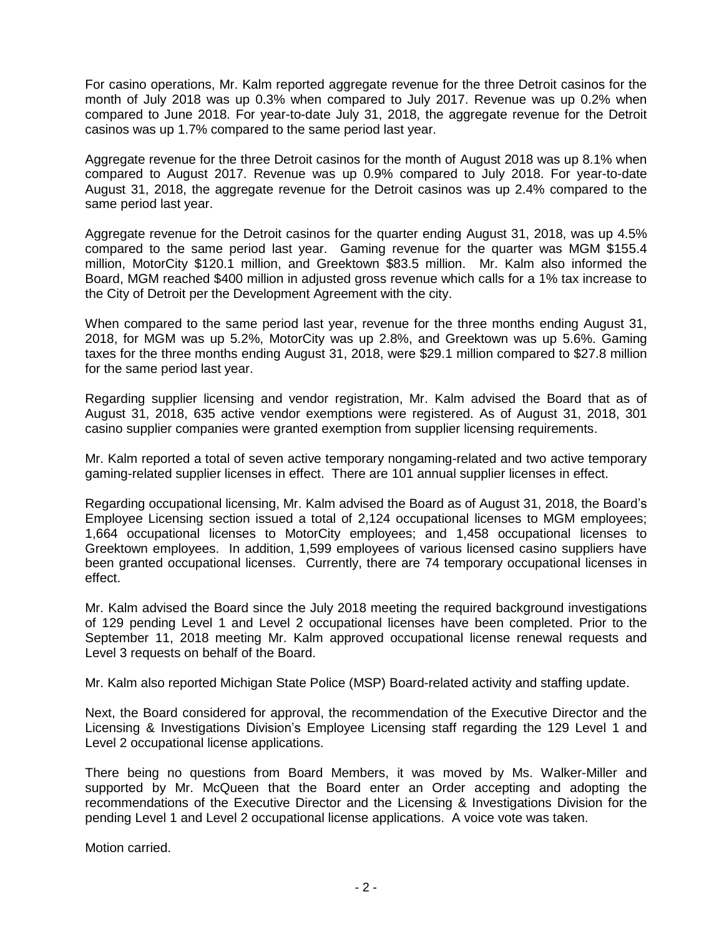For casino operations, Mr. Kalm reported aggregate revenue for the three Detroit casinos for the month of July 2018 was up 0.3% when compared to July 2017. Revenue was up 0.2% when compared to June 2018. For year-to-date July 31, 2018, the aggregate revenue for the Detroit casinos was up 1.7% compared to the same period last year.

Aggregate revenue for the three Detroit casinos for the month of August 2018 was up 8.1% when compared to August 2017. Revenue was up 0.9% compared to July 2018. For year-to-date August 31, 2018, the aggregate revenue for the Detroit casinos was up 2.4% compared to the same period last year.

Aggregate revenue for the Detroit casinos for the quarter ending August 31, 2018, was up 4.5% compared to the same period last year. Gaming revenue for the quarter was MGM \$155.4 million, MotorCity \$120.1 million, and Greektown \$83.5 million. Mr. Kalm also informed the Board, MGM reached \$400 million in adjusted gross revenue which calls for a 1% tax increase to the City of Detroit per the Development Agreement with the city.

When compared to the same period last year, revenue for the three months ending August 31, 2018, for MGM was up 5.2%, MotorCity was up 2.8%, and Greektown was up 5.6%. Gaming taxes for the three months ending August 31, 2018, were \$29.1 million compared to \$27.8 million for the same period last year.

Regarding supplier licensing and vendor registration, Mr. Kalm advised the Board that as of August 31, 2018, 635 active vendor exemptions were registered. As of August 31, 2018, 301 casino supplier companies were granted exemption from supplier licensing requirements.

Mr. Kalm reported a total of seven active temporary nongaming-related and two active temporary gaming-related supplier licenses in effect. There are 101 annual supplier licenses in effect.

Regarding occupational licensing, Mr. Kalm advised the Board as of August 31, 2018, the Board's Employee Licensing section issued a total of 2,124 occupational licenses to MGM employees; 1,664 occupational licenses to MotorCity employees; and 1,458 occupational licenses to Greektown employees. In addition, 1,599 employees of various licensed casino suppliers have been granted occupational licenses. Currently, there are 74 temporary occupational licenses in effect.

Mr. Kalm advised the Board since the July 2018 meeting the required background investigations of 129 pending Level 1 and Level 2 occupational licenses have been completed. Prior to the September 11, 2018 meeting Mr. Kalm approved occupational license renewal requests and Level 3 requests on behalf of the Board.

Mr. Kalm also reported Michigan State Police (MSP) Board-related activity and staffing update.

Next, the Board considered for approval, the recommendation of the Executive Director and the Licensing & Investigations Division's Employee Licensing staff regarding the 129 Level 1 and Level 2 occupational license applications.

There being no questions from Board Members, it was moved by Ms. Walker-Miller and supported by Mr. McQueen that the Board enter an Order accepting and adopting the recommendations of the Executive Director and the Licensing & Investigations Division for the pending Level 1 and Level 2 occupational license applications. A voice vote was taken.

Motion carried.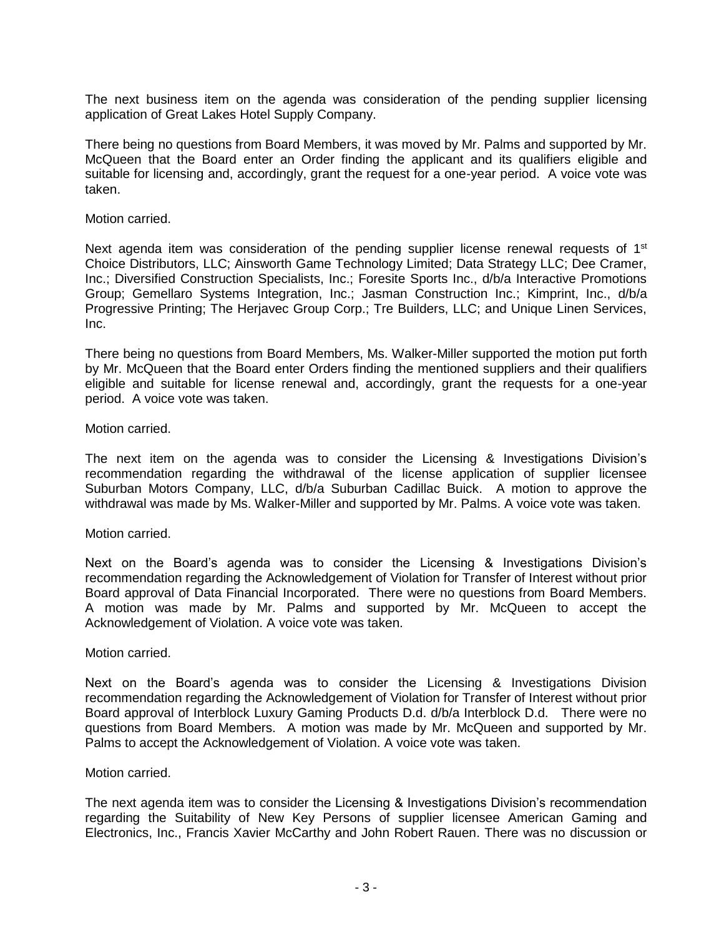The next business item on the agenda was consideration of the pending supplier licensing application of Great Lakes Hotel Supply Company.

There being no questions from Board Members, it was moved by Mr. Palms and supported by Mr. McQueen that the Board enter an Order finding the applicant and its qualifiers eligible and suitable for licensing and, accordingly, grant the request for a one-year period. A voice vote was taken.

#### Motion carried.

Next agenda item was consideration of the pending supplier license renewal requests of  $1<sup>st</sup>$ Choice Distributors, LLC; Ainsworth Game Technology Limited; Data Strategy LLC; Dee Cramer, Inc.; Diversified Construction Specialists, Inc.; Foresite Sports Inc., d/b/a Interactive Promotions Group; Gemellaro Systems Integration, Inc.; Jasman Construction Inc.; Kimprint, Inc., d/b/a Progressive Printing; The Herjavec Group Corp.; Tre Builders, LLC; and Unique Linen Services, Inc.

There being no questions from Board Members, Ms. Walker-Miller supported the motion put forth by Mr. McQueen that the Board enter Orders finding the mentioned suppliers and their qualifiers eligible and suitable for license renewal and, accordingly, grant the requests for a one-year period. A voice vote was taken.

### Motion carried.

The next item on the agenda was to consider the Licensing & Investigations Division's recommendation regarding the withdrawal of the license application of supplier licensee Suburban Motors Company, LLC, d/b/a Suburban Cadillac Buick. A motion to approve the withdrawal was made by Ms. Walker-Miller and supported by Mr. Palms. A voice vote was taken.

#### Motion carried.

Next on the Board's agenda was to consider the Licensing & Investigations Division's recommendation regarding the Acknowledgement of Violation for Transfer of Interest without prior Board approval of Data Financial Incorporated. There were no questions from Board Members. A motion was made by Mr. Palms and supported by Mr. McQueen to accept the Acknowledgement of Violation. A voice vote was taken.

#### Motion carried.

Next on the Board's agenda was to consider the Licensing & Investigations Division recommendation regarding the Acknowledgement of Violation for Transfer of Interest without prior Board approval of Interblock Luxury Gaming Products D.d. d/b/a Interblock D.d. There were no questions from Board Members. A motion was made by Mr. McQueen and supported by Mr. Palms to accept the Acknowledgement of Violation. A voice vote was taken.

#### Motion carried.

The next agenda item was to consider the Licensing & Investigations Division's recommendation regarding the Suitability of New Key Persons of supplier licensee American Gaming and Electronics, Inc., Francis Xavier McCarthy and John Robert Rauen. There was no discussion or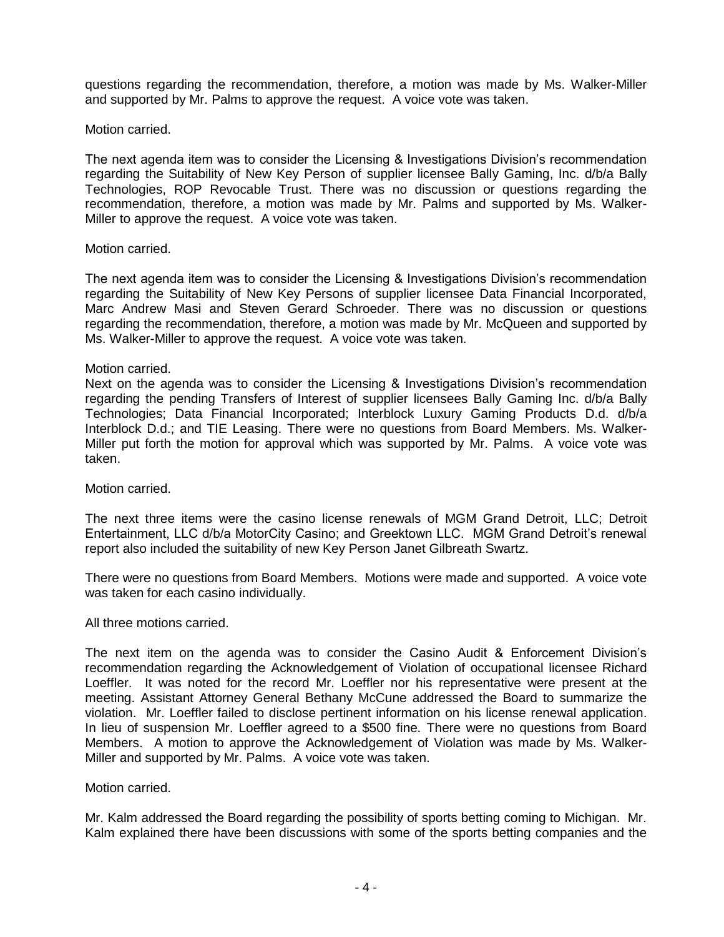questions regarding the recommendation, therefore, a motion was made by Ms. Walker-Miller and supported by Mr. Palms to approve the request. A voice vote was taken.

Motion carried.

The next agenda item was to consider the Licensing & Investigations Division's recommendation regarding the Suitability of New Key Person of supplier licensee Bally Gaming, Inc. d/b/a Bally Technologies, ROP Revocable Trust. There was no discussion or questions regarding the recommendation, therefore, a motion was made by Mr. Palms and supported by Ms. Walker-Miller to approve the request. A voice vote was taken.

## Motion carried.

The next agenda item was to consider the Licensing & Investigations Division's recommendation regarding the Suitability of New Key Persons of supplier licensee Data Financial Incorporated, Marc Andrew Masi and Steven Gerard Schroeder. There was no discussion or questions regarding the recommendation, therefore, a motion was made by Mr. McQueen and supported by Ms. Walker-Miller to approve the request. A voice vote was taken.

## Motion carried.

Next on the agenda was to consider the Licensing & Investigations Division's recommendation regarding the pending Transfers of Interest of supplier licensees Bally Gaming Inc. d/b/a Bally Technologies; Data Financial Incorporated; Interblock Luxury Gaming Products D.d. d/b/a Interblock D.d.; and TIE Leasing. There were no questions from Board Members. Ms. Walker-Miller put forth the motion for approval which was supported by Mr. Palms. A voice vote was taken.

## Motion carried.

The next three items were the casino license renewals of MGM Grand Detroit, LLC; Detroit Entertainment, LLC d/b/a MotorCity Casino; and Greektown LLC. MGM Grand Detroit's renewal report also included the suitability of new Key Person Janet Gilbreath Swartz.

There were no questions from Board Members. Motions were made and supported. A voice vote was taken for each casino individually.

## All three motions carried.

The next item on the agenda was to consider the Casino Audit & Enforcement Division's recommendation regarding the Acknowledgement of Violation of occupational licensee Richard Loeffler. It was noted for the record Mr. Loeffler nor his representative were present at the meeting. Assistant Attorney General Bethany McCune addressed the Board to summarize the violation. Mr. Loeffler failed to disclose pertinent information on his license renewal application. In lieu of suspension Mr. Loeffler agreed to a \$500 fine. There were no questions from Board Members. A motion to approve the Acknowledgement of Violation was made by Ms. Walker-Miller and supported by Mr. Palms. A voice vote was taken.

## Motion carried.

Mr. Kalm addressed the Board regarding the possibility of sports betting coming to Michigan. Mr. Kalm explained there have been discussions with some of the sports betting companies and the